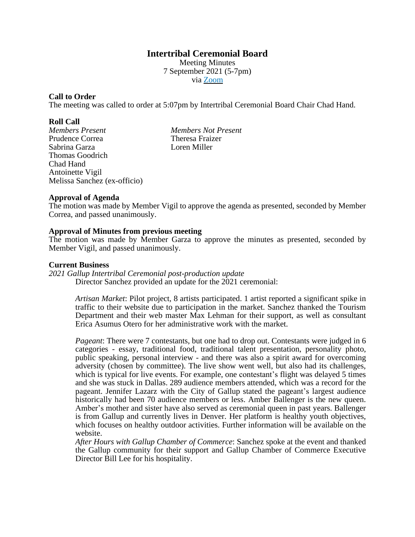# **Intertribal Ceremonial Board**

Meeting Minutes 7 September 2021 (5-7pm) via [Zoom](https://us06web.zoom.us/j/95362930802?pwd=QXhSU21zVEpMT0RpS0lrZnFDYmk0Zz09)

## **Call to Order**

The meeting was called to order at 5:07pm by Intertribal Ceremonial Board Chair Chad Hand.

#### **Roll Call**

*Members Present Members Not Present* Prudence Correa Theresa Fraizer Sabrina Garza Loren Miller Thomas Goodrich Chad Hand Antoinette Vigil Melissa Sanchez (ex-officio)

## **Approval of Agenda**

The motion was made by Member Vigil to approve the agenda as presented, seconded by Member Correa, and passed unanimously.

## **Approval of Minutes from previous meeting**

The motion was made by Member Garza to approve the minutes as presented, seconded by Member Vigil, and passed unanimously.

#### **Current Business**

*2021 Gallup Intertribal Ceremonial post-production update* Director Sanchez provided an update for the 2021 ceremonial:

> *Artisan Market*: Pilot project, 8 artists participated. 1 artist reported a significant spike in traffic to their website due to participation in the market. Sanchez thanked the Tourism Department and their web master Max Lehman for their support, as well as consultant Erica Asumus Otero for her administrative work with the market.

> *Pageant*: There were 7 contestants, but one had to drop out. Contestants were judged in 6 categories - essay, traditional food, traditional talent presentation, personality photo, public speaking, personal interview - and there was also a spirit award for overcoming adversity (chosen by committee). The live show went well, but also had its challenges, which is typical for live events. For example, one contestant's flight was delayed 5 times and she was stuck in Dallas. 289 audience members attended, which was a record for the pageant. Jennifer Lazarz with the City of Gallup stated the pageant's largest audience historically had been 70 audience members or less. Amber Ballenger is the new queen. Amber's mother and sister have also served as ceremonial queen in past years. Ballenger is from Gallup and currently lives in Denver. Her platform is healthy youth objectives, which focuses on healthy outdoor activities. Further information will be available on the website.

> *After Hours with Gallup Chamber of Commerce*: Sanchez spoke at the event and thanked the Gallup community for their support and Gallup Chamber of Commerce Executive Director Bill Lee for his hospitality.